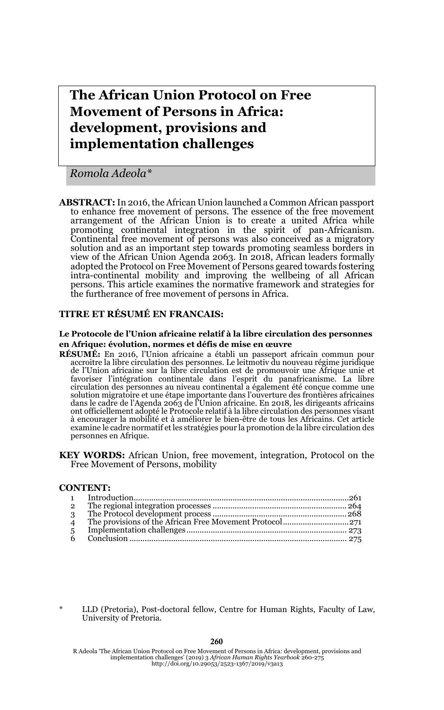**The African Union Protocol on Free Movement of Persons in Africa: development, provisions and implementation challenges**

*Romola Adeola\**

**ABSTRACT:** In 2016, the African Union launched a Common African passport to enhance free movement of persons. The essence of the free movement arrangement of the African Union is to create a united Africa while promoting continental integration in the spirit of pan-Africanism. Continental free movement of persons was also conceived as a migratory solution and as an important step towards promoting seamless borders in view of the African Union Agenda 2063. In 2018, African leaders formally adopted the Protocol on Free Movement of Persons geared towards fostering intra-continental mobility and improving the wellbeing of all African persons. This article examines the normative framework and strategies for the furtherance of free movement of persons in Africa.

### **TITRE ET RÉSUMÉ EN FRANCAIS:**

#### **Le Protocole de l'Union africaine relatif à la libre circulation des personnes en Afrique: évolution, normes et défis de mise en œuvre**

- **RÉSUMÉ:** En 2016, l'Union africaine a établi un passeport africain commun pour accroitre la libre circulation des personnes. Le leitmotiv du nouveau régime juridique de l'Union africaine sur la libre circulation est de promouvoir une Afrique unie et favoriser l'intégration continentale dans l'esprit du panafricanisme. La libre circulation des personnes au niveau continental a également été conçue comme une solution migratoire et une étape importante dans l'ouverture des frontières africaines dans le cadre de l'Agenda 2063 de l'Union africaine. En 2018, les dirigeants africains ont officiellement adopté le Protocole relatif à la libre circulation des personnes visant à encourager la mobilité et à améliorer le bien-être de tous les Africains. Cet article examine le cadre normatif et les stratégies pour la promotion de la libre circulation des personnes en Afrique.
- **KEY WORDS:** African Union, free movement, integration, Protocol on the Free Movement of Persons, mobility

### **CONTENT:**

| $\overline{2}$ |  |
|----------------|--|
|                |  |
|                |  |
| 5 <sup>5</sup> |  |
|                |  |
|                |  |

LLD (Pretoria), Post-doctoral fellow, Centre for Human Rights, Faculty of Law, University of Pretoria.

260

R Adeola 'The African Union Protocol on Free Movement of Persons in Africa: development, provisions and implementation challenges' (2019) 3 *African Human Rights Yearbook* 260-275 http://doi.org/10.29053/2523-1367/2019/v3a13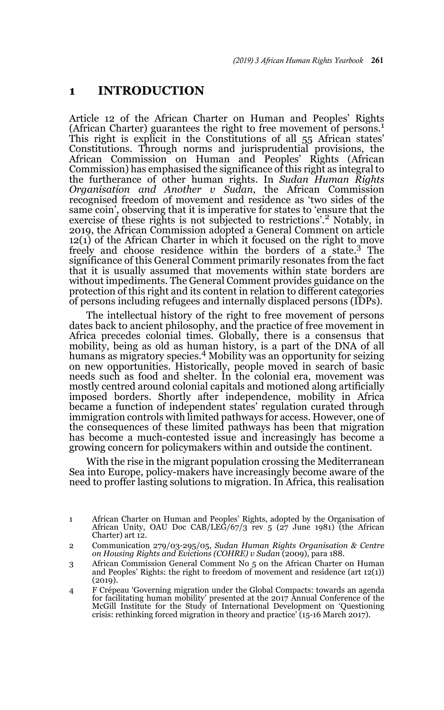### **1 INTRODUCTION**

Article 12 of the African Charter on Human and Peoples' Rights (African Charter) guarantees the right to free movement of persons.<sup>1</sup> This right is explicit in the Constitutions of all 55 African states' Constitutions. Through norms and jurisprudential provisions, the African Commission on Human and Peoples' Rights (African Commission) has emphasised the significance of this right as integral to the furtherance of other human rights. In *Sudan Human Rights Organisation and Another v Sudan*, the African Commission recognised freedom of movement and residence as 'two sides of the same coin', observing that it is imperative for states to 'ensure that the exercise of these rights is not subjected to restrictions'.<sup>2</sup> Notably, in 2019, the African Commission adopted a General Comment on article 12(1) of the African Charter in which it focused on the right to move freely and choose residence within the borders of a state.<sup>3</sup> The significance of this General Comment primarily resonates from the fact that it is usually assumed that movements within state borders are without impediments. The General Comment provides guidance on the protection of this right and its content in relation to different categories of persons including refugees and internally displaced persons (IDPs).

The intellectual history of the right to free movement of persons dates back to ancient philosophy, and the practice of free movement in Africa precedes colonial times. Globally, there is a consensus that mobility, being as old as human history, is a part of the DNA of all humans as migratory species.<sup>4</sup> Mobility was an opportunity for seizing on new opportunities. Historically, people moved in search of basic needs such as food and shelter. In the colonial era, movement was mostly centred around colonial capitals and motioned along artificially imposed borders. Shortly after independence, mobility in Africa became a function of independent states' regulation curated through immigration controls with limited pathways for access. However, one of the consequences of these limited pathways has been that migration has become a much-contested issue and increasingly has become a growing concern for policymakers within and outside the continent.

With the rise in the migrant population crossing the Mediterranean Sea into Europe, policy-makers have increasingly become aware of the need to proffer lasting solutions to migration. In Africa, this realisation

<sup>1</sup> African Charter on Human and Peoples' Rights, adopted by the Organisation of African Unity, OAU Doc CAB/LEG/67/3 rev 5 (27 June 1981) (the African Charter) art 12.

<sup>2</sup> Communication 279/03-295/05, *Sudan Human Rights Organisation & Centre on Housing Rights and Evictions (COHRE) v Sudan* (2009), para 188.

<sup>3</sup> African Commission General Comment No 5 on the African Charter on Human and Peoples' Rights: the right to freedom of movement and residence (art 12(1)) (2019).

<sup>4</sup> F Crépeau 'Governing migration under the Global Compacts: towards an agenda for facilitating human mobility' presented at the 2017 Annual Conference of the McGill Institute for the Study of International Development on 'Questioning crisis: rethinking forced migration in theory and practice' (15-16 March 2017).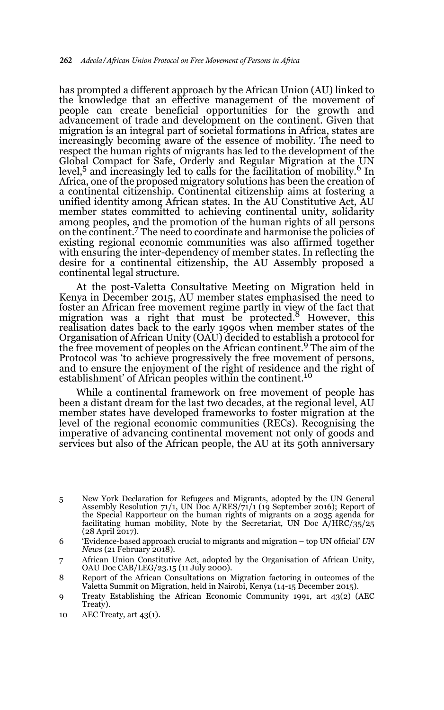has prompted a different approach by the African Union (AU) linked to the knowledge that an effective management of the movement of people can create beneficial opportunities for the growth and advancement of trade and development on the continent. Given that migration is an integral part of societal formations in Africa, states are increasingly becoming aware of the essence of mobility. The need to respect the human rights of migrants has led to the development of the Global Compact for Safe, Orderly and Regular Migration at the UN level,<sup>5</sup> and increasingly led to calls for the facilitation of mobility.<sup>6</sup> In Africa, one of the proposed migratory solutions has been the creation of a continental citizenship. Continental citizenship aims at fostering a unified identity among African states. In the AU Constitutive Act, AU member states committed to achieving continental unity, solidarity among peoples, and the promotion of the human rights of all persons<br>on the continent.<sup>7</sup> The need to coordinate and harmonise the policies of existing regional economic communities was also affirmed together with ensuring the inter-dependency of member states. In reflecting the desire for a continental citizenship, the AU Assembly proposed a continental legal structure.

At the post-Valetta Consultative Meeting on Migration held in Kenya in December 2015, AU member states emphasised the need to foster an African free movement regime partly in view of the fact that migration was a right that must be protected.<sup>8</sup> However, this realisation dates back to the early 1990s when member states of the Organisation of African Unity (OAU) decided to establish a protocol for the free movement of peoples on the African continent.9 The aim of the Protocol was 'to achieve progressively the free movement of persons, and to ensure the enjoyment of the right of residence and the right of establishment' of African peoples within the continent.<sup>10</sup>

While a continental framework on free movement of people has been a distant dream for the last two decades, at the regional level, AU member states have developed frameworks to foster migration at the level of the regional economic communities (RECs). Recognising the imperative of advancing continental movement not only of goods and services but also of the African people, the AU at its 50th anniversary

<sup>5</sup> New York Declaration for Refugees and Migrants, adopted by the UN General Assembly Resolution 71/1, UN Doc A/RES/71/1 (19 September 2016); Report of the Special Rapporteur on the human rights of migrants on a 2035 agenda for facilitating human mobility, Note by the Secretariat, UN Doc A/HRC/35/25 (28 April 2017).

<sup>6 &#</sup>x27;Evidence-based approach crucial to migrants and migration – top UN official' *UN News* (21 February 2018).

<sup>7</sup> African Union Constitutive Act, adopted by the Organisation of African Unity, OAU Doc CAB/LEG/23.15 (11 July 2000).

<sup>8</sup> Report of the African Consultations on Migration factoring in outcomes of the Valetta Summit on Migration, held in Nairobi, Kenya (14-15 December 2015).

<sup>9</sup> Treaty Establishing the African Economic Community 1991, art 43(2) (AEC Treaty).

<sup>10</sup> AEC Treaty, art 43(1).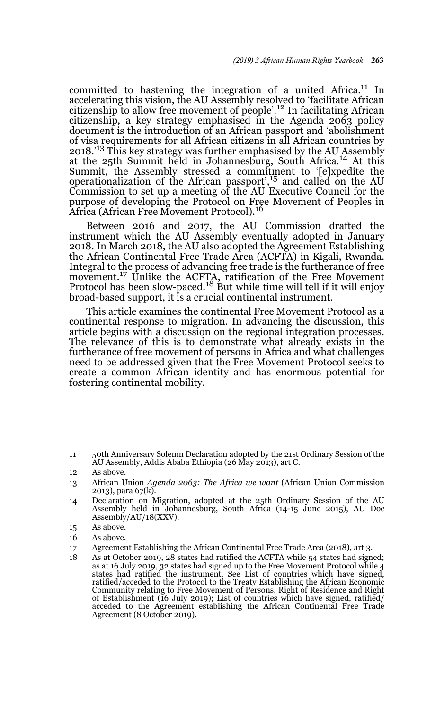committed to hastening the integration of a united Africa.11 In accelerating this vision, the AU Assembly resolved to 'facilitate African citizenship to allow free movement of people'.12 In facilitating African citizenship, a key strategy emphasised in the Agenda 2063 policy document is the introduction of an African passport and 'abolishment of visa requirements for all African citizens in all African countries by 2018.'13 This key strategy was further emphasised by the AU Assembly at the 25th Summit held in Johannesburg, South Africa.14 At this Summit, the Assembly stressed a commitment to '[e]xpedite the operationalization of the African passport',15 and called on the AU Commission to set up a meeting of the AU Executive Council for the purpose of developing the Protocol on Free Movement of Peoples in Africa (African Free Movement Protocol).<sup>16</sup>

Between 2016 and 2017, the AU Commission drafted the instrument which the AU Assembly eventually adopted in January 2018. In March 2018, the AU also adopted the Agreement Establishing the African Continental Free Trade Area (ACFTA) in Kigali, Rwanda. Integral to the process of advancing free trade is the furtherance of free movement.<sup>17</sup> Unlike the ACFTA, ratification of the Free Movement Protocol has been slow-paced.18 But while time will tell if it will enjoy broad-based support, it is a crucial continental instrument.

This article examines the continental Free Movement Protocol as a continental response to migration. In advancing the discussion, this article begins with a discussion on the regional integration processes. The relevance of this is to demonstrate what already exists in the furtherance of free movement of persons in Africa and what challenges need to be addressed given that the Free Movement Protocol seeks to create a common African identity and has enormous potential for fostering continental mobility.

11 50th Anniversary Solemn Declaration adopted by the 21st Ordinary Session of the AU Assembly, Addis Ababa Ethiopia (26 May 2013), art C.

- 13 African Union *Agenda 2063: The Africa we want* (African Union Commission 2013), para 67(k).
- 14 Declaration on Migration, adopted at the 25th Ordinary Session of the AU Assembly held in Johannesburg, South Africa (14-15 June 2015), AU Doc Assembly/AU/18(XXV).
- 15 As above.
- 16 As above.
- 17 Agreement Establishing the African Continental Free Trade Area (2018), art 3.
- 18 As at October 2019, 28 states had ratified the ACFTA while 54 states had signed; as at 16 July 2019, 32 states had signed up to the Free Movement Protocol while 4 states had ratified the instrument. See List of countries which have signed, ratified/acceded to the Protocol to the Treaty Establishing the African Economic Community relating to Free Movement of Persons, Right of Residence and Right of Establishment (16 July 2019); List of countries which have signed, ratified/ acceded to the Agreement establishing the African Continental Free Trade Agreement (8 October 2019).

<sup>12</sup> As above.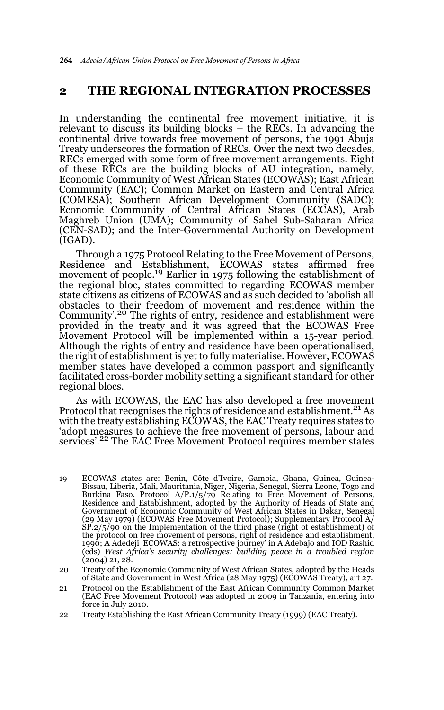## **2 THE REGIONAL INTEGRATION PROCESSES**

In understanding the continental free movement initiative, it is relevant to discuss its building blocks – the RECs. In advancing the continental drive towards free movement of persons, the 1991 Abuja Treaty underscores the formation of RECs. Over the next two decades, RECs emerged with some form of free movement arrangements. Eight of these RECs are the building blocks of AU integration, namely, Economic Community of West African States (ECOWAS); East African Community (EAC); Common Market on Eastern and Central Africa (COMESA); Southern African Development Community (SADC); Economic Community of Central African States (ECCAS), Arab Maghreb Union (UMA); Community of Sahel Sub-Saharan Africa (CEN-SAD); and the Inter-Governmental Authority on Development (IGAD).

Through a 1975 Protocol Relating to the Free Movement of Persons, Residence and Establishment, ECOWAS states affirmed free movement of people.<sup>19</sup> Earlier in 1975 following the establishment of the regional bloc, states committed to regarding ECOWAS member state citizens as citizens of ECOWAS and as such decided to 'abolish all obstacles to their freedom of movement and residence within the Community'.<sup>20</sup> The rights of entry, residence and establishment were provided in the treaty and it was agreed that the ECOWAS Free Movement Protocol will be implemented within a 15-year period. Although the rights of entry and residence have been operationalised, the right of establishment is yet to fully materialise. However, ECOWAS member states have developed a common passport and significantly facilitated cross-border mobility setting a significant standard for other regional blocs.

As with ECOWAS, the EAC has also developed a free movement Protocol that recognises the rights of residence and establishment.<sup>21</sup> As with the treaty establishing ECOWAS, the EAC Treaty requires states to 'adopt measures to achieve the free movement of persons, labour and services'.<sup>22</sup> The EAC Free Movement Protocol requires member states

- 19 ECOWAS states are: Benin, Côte d'Ivoire, Gambia, Ghana, Guinea, Guinea-Bissau, Liberia, Mali, Mauritania, Niger, Nigeria, Senegal, Sierra Leone, Togo and Burkina Faso. Protocol A/P.1/5/79 Relating to Free Movement of Persons, Residence and Establishment, adopted by the Authority of Heads of State and Government of Economic Community of West African States in Dakar, Senegal (29 May 1979) (ECOWAS Free Movement Protocol); Supplementary Protocol A/ SP.2/5/90 on the Implementation of the third phase (right of establishment) of the protocol on free movement of persons, right of residence and establishment, 1990; A Adedeji 'ECOWAS: a retrospective journey' in A Adebajo and IOD Rashid (eds) *West Africa's security challenges: building peace in a troubled region* (2004) 21, 28.
- 20 Treaty of the Economic Community of West African States, adopted by the Heads of State and Government in West Africa (28 May 1975) (ECOWAS Treaty), art 27.
- 21 Protocol on the Establishment of the East African Community Common Market (EAC Free Movement Protocol) was adopted in 2009 in Tanzania, entering into force in July 2010.
- 22 Treaty Establishing the East African Community Treaty (1999) (EAC Treaty).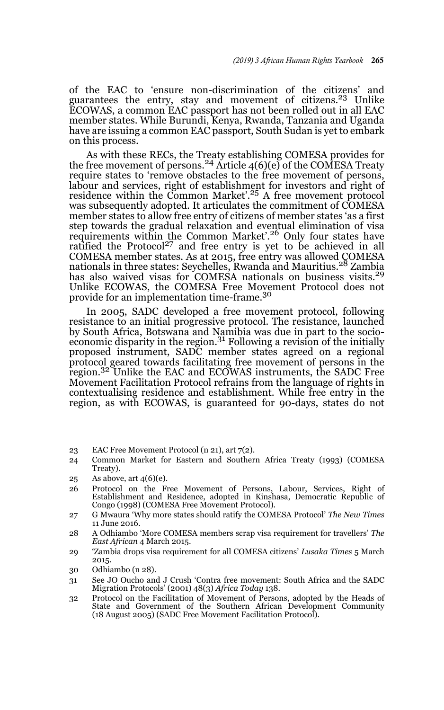of the EAC to 'ensure non-discrimination of the citizens' and guarantees the entry, stay and movement of citizens.23 Unlike ECOWAS, a common EAC passport has not been rolled out in all EAC member states. While Burundi, Kenya, Rwanda, Tanzania and Uganda have are issuing a common EAC passport, South Sudan is yet to embark on this process.

As with these RECs, the Treaty establishing COMESA provides for the free movement of persons.<sup>24</sup> Article  $4(6)(e)$  of the COMESA Treaty require states to 'remove obstacles to the free movement of persons, labour and services, right of establishment for investors and right of<br>residence within the Common Market'.<sup>25</sup> A free movement protocol was subsequently adopted. It articulates the commitment of COMESA member states to allow free entry of citizens of member states 'as a first step towards the gradual relaxation and eventual elimination of visa requirements within the Common Market'.<sup>26</sup> Only four states have ratified the Protocol<sup>27</sup> and free entry is yet to be achieved in all COMESA member states. As at 2015, free entry was allowed COMESA nationals in three states: Seychelles, Rwanda and Mauritius.28 Zambia has also waived visas for COMESA nationals on business visits.<sup>29</sup> Unlike ECOWAS, the COMESA Free Movement Protocol does not provide for an implementation time-frame.30

In 2005, SADC developed a free movement protocol, following resistance to an initial progressive protocol. The resistance, launched by South Africa, Botswana and Namibia was due in part to the socioeconomic disparity in the region.<sup>31</sup> Following a revision of the initially proposed instrument, SADC member states agreed on a regional protocol geared towards facilitating free movement of persons in the region.32 Unlike the EAC and ECOWAS instruments, the SADC Free Movement Facilitation Protocol refrains from the language of rights in contextualising residence and establishment. While free entry in the region, as with ECOWAS, is guaranteed for 90-days, states do not

- 23 EAC Free Movement Protocol (n 21), art 7(2).
- 24 Common Market for Eastern and Southern Africa Treaty (1993) (COMESA Treaty).
- 25 As above, art 4(6)(e).
- 26 Protocol on the Free Movement of Persons, Labour, Services, Right of Establishment and Residence, adopted in Kinshasa, Democratic Republic of Congo (1998) (COMESA Free Movement Protocol).
- 27 G Mwaura 'Why more states should ratify the COMESA Protocol' *The New Times* 11 June 2016.
- 28 A Odhiambo 'More COMESA members scrap visa requirement for travellers' *The East African* 4 March 2015.
- 29 'Zambia drops visa requirement for all COMESA citizens' *Lusaka Times* 5 March 2015.
- 30 Odhiambo (n 28).
- 31 See JO Oucho and J Crush 'Contra free movement: South Africa and the SADC Migration Protocols' (2001) 48(3) *Africa Today* 138.
- 32 Protocol on the Facilitation of Movement of Persons, adopted by the Heads of State and Government of the Southern African Development Community (18 August 2005) (SADC Free Movement Facilitation Protocol).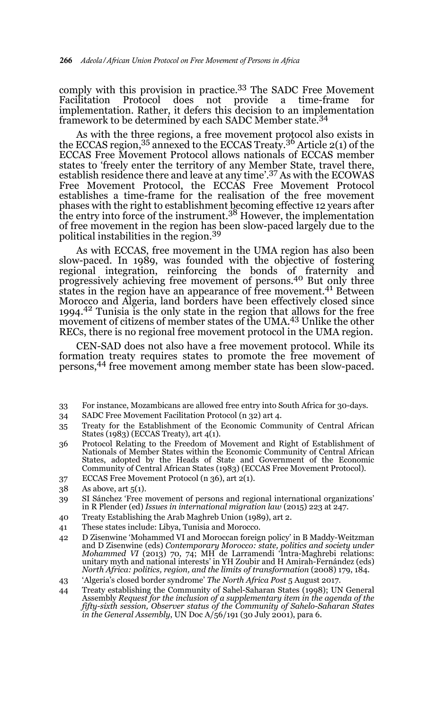comply with this provision in practice.33 The SADC Free Movement Facilitation Protocol does not provide a time-frame for implementation. Rather, it defers this decision to an implementation framework to be determined by each SADC Member state.<sup>34</sup>

As with the three regions, a free movement protocol also exists in the ECCAS region,<sup>35</sup> annexed to the ECCAS Treaty.<sup>36</sup> Article 2(1) of the ECCAS Free Movement Protocol allows nationals of ECCAS member states to 'freely enter the territory of any Member State, travel there, establish residence there and leave at any time'.37 As with the ECOWAS Free Movement Protocol, the ECCAS Free Movement Protocol establishes a time-frame for the realisation of the free movement phases with the right to establishment becoming effective 12 years after<br>the entry into force of the instrument.<sup>38</sup> However, the implementation of free movement in the region has been slow-paced largely due to the political instabilities in the region.<sup>39</sup>

As with ECCAS, free movement in the UMA region has also been slow-paced. In 1989, was founded with the objective of fostering regional integration, reinforcing the bonds of fraternity and progressively achieving free movement of persons.40 But only three states in the region have an appearance of free movement.<sup>41</sup> Between Morocco and Algeria, land borders have been effectively closed since 1994.42 Tunisia is the only state in the region that allows for the free movement of citizens of member states of the UMA.<sup>43</sup> Unlike the other RECs, there is no regional free movement protocol in the UMA region.

CEN-SAD does not also have a free movement protocol. While its formation treaty requires states to promote the free movement of persons,44 free movement among member state has been slow-paced.

- 33 For instance, Mozambicans are allowed free entry into South Africa for 30-days.
- 34 SADC Free Movement Facilitation Protocol (n 32) art 4.
- 35 Treaty for the Establishment of the Economic Community of Central African States (1983) (ECCAS Treaty), art 4(1).
- 36 Protocol Relating to the Freedom of Movement and Right of Establishment of Nationals of Member States within the Economic Community of Central African States, adopted by the Heads of State and Government of the Economic Community of Central African States (1983) (ECCAS Free Movement Protocol).
- 37 ECCAS Free Movement Protocol (n 36), art 2(1).
- 38 As above, art 5(1).
- 39 SI Sánchez 'Free movement of persons and regional international organizations' in R Plender (ed) *Issues in international migration law* (2015) 223 at 247.
- 40 Treaty Establishing the Arab Maghreb Union (1989), art 2.
- 41 These states include: Libya, Tunisia and Morocco.
- 42 D Zisenwine 'Mohammed VI and Moroccan foreign policy' in B Maddy-Weitzman and D Zisenwine (eds) *Contemporary Morocco: state, politics and society under Mohammed VI* (2013) 70, 74; MH de Larramendi 'Intra-Maghrebi relations: unitary myth and national interests' in YH Zoubir and H Amirah-Fernández (eds) *North Africa: politics, region, and the limits of transformation* (2008) 179, 184.
- 43 'Algeria's closed border syndrome' *The North Africa Post* 5 August 2017.
- 44 Treaty establishing the Community of Sahel-Saharan States (1998); UN General Assembly *Request for the inclusion of a supplementary item in the agenda of the fifty-sixth session, Observer status of the Community of Sahelo-Saharan States in the General Assembly*, UN Doc A/56/191 (30 July 2001), para 6.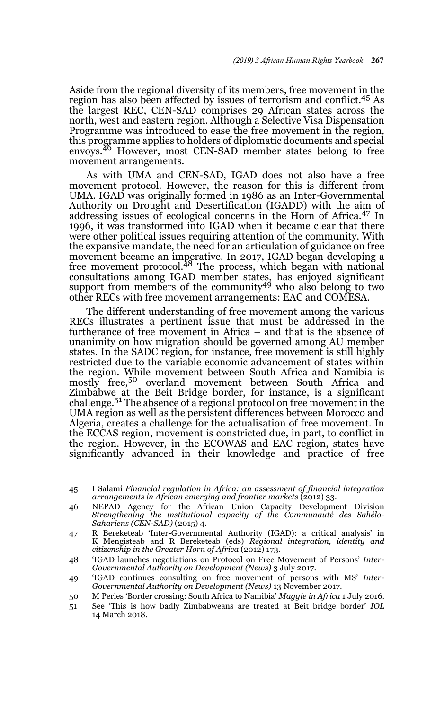Aside from the regional diversity of its members, free movement in the region has also been affected by issues of terrorism and conflict.45 As the largest REC, CEN-SAD comprises 29 African states across the north, west and eastern region. Although a Selective Visa Dispensation Programme was introduced to ease the free movement in the region, this programme applies to holders of diplomatic documents and special envoys.<sup>46</sup> However, most CEN-SAD member states belong to free movement arrangements.

As with UMA and CEN-SAD, IGAD does not also have a free movement protocol. However, the reason for this is different from UMA. IGAD was originally formed in 1986 as an Inter-Governmental Authority on Drought and Desertification (IGADD) with the aim of addressing issues of ecological concerns in the Horn of Africa.47 In 1996, it was transformed into IGAD when it became clear that there were other political issues requiring attention of the community. With the expansive mandate, the need for an articulation of guidance on free movement became an imperative. In 2017, IGAD began developing a<br>free movement protocol.<sup>48</sup> The process, which began with national consultations among IGAD member states, has enjoyed significant support from members of the community49 who also belong to two other RECs with free movement arrangements: EAC and COMESA.

The different understanding of free movement among the various RECs illustrates a pertinent issue that must be addressed in the furtherance of free movement in Africa – and that is the absence of unanimity on how migration should be governed among AU member states. In the SADC region, for instance, free movement is still highly restricted due to the variable economic advancement of states within the region. While movement between South Africa and Namibia is mostly free,<sup>50</sup> overland movement between South Africa and Zimbabwe at the Beit Bridge border, for instance, is a significant challenge.51 The absence of a regional protocol on free movement in the UMA region as well as the persistent differences between Morocco and Algeria, creates a challenge for the actualisation of free movement. In the ECCAS region, movement is constricted due, in part, to conflict in the region. However, in the ECOWAS and EAC region, states have significantly advanced in their knowledge and practice of free

- 45 I Salami *Financial regulation in Africa: an assessment of financial integration* arrangements in African emerging and frontier markets (2012) 33.
- 46 NEPAD Agency for the African Union Capacity Development Division *Strengthening the institutional capacity of the Communauté des Sahélo-Sahariens (CEN-SAD)* (2015) 4.
- 47 R Bereketeab 'Inter-Governmental Authority (IGAD): a critical analysis' in K Mengisteab and R Bereketeab (eds) *Regional integration, identity and citizenship in the Greater Horn of Africa* (2012) 173.
- 48 'IGAD launches negotiations on Protocol on Free Movement of Persons' *Inter-Governmental Authority on Development (News)* 3 July 2017.
- 49 'IGAD continues consulting on free movement of persons with MS' *Inter-Governmental Authority on Development (News)* 13 November 2017.
- 50 M Peries 'Border crossing: South Africa to Namibia' *Maggie in Africa* 1 July 2016.
- 51 See 'This is how badly Zimbabweans are treated at Beit bridge border' *IOL* 14 March 2018.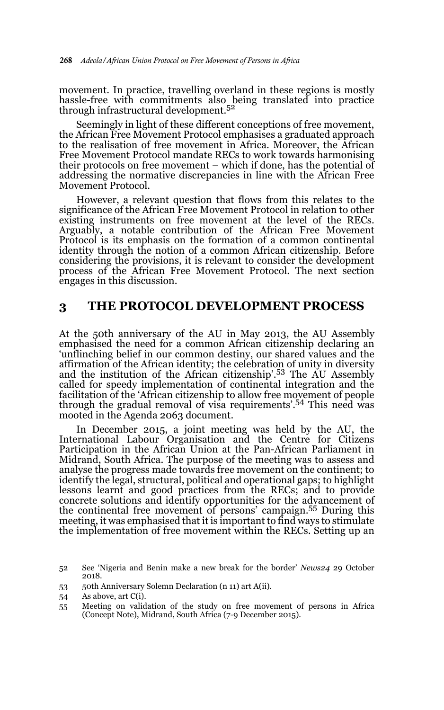movement. In practice, travelling overland in these regions is mostly hassle-free with commitments also being translated into practice through infrastructural development.52

Seemingly in light of these different conceptions of free movement, the African Free Movement Protocol emphasises a graduated approach to the realisation of free movement in Africa. Moreover, the African Free Movement Protocol mandate RECs to work towards harmonising their protocols on free movement – which if done, has the potential of addressing the normative discrepancies in line with the African Free Movement Protocol.

However, a relevant question that flows from this relates to the significance of the African Free Movement Protocol in relation to other existing instruments on free movement at the level of the RECs. Arguably, a notable contribution of the African Free Movement Protocol is its emphasis on the formation of a common continental identity through the notion of a common African citizenship. Before considering the provisions, it is relevant to consider the development process of the African Free Movement Protocol. The next section engages in this discussion.

### **3 THE PROTOCOL DEVELOPMENT PROCESS**

At the 50th anniversary of the AU in May 2013, the AU Assembly emphasised the need for a common African citizenship declaring an 'unflinching belief in our common destiny, our shared values and the affirmation of the African identity; the celebration of unity in diversity and the institution of the African citizenship'.53 The AU Assembly called for speedy implementation of continental integration and the facilitation of the 'African citizenship to allow free movement of people through the gradual removal of visa requirements'.54 This need was mooted in the Agenda 2063 document.

In December 2015, a joint meeting was held by the AU, the International Labour Organisation and the Centre for Citizens Participation in the African Union at the Pan-African Parliament in Midrand, South Africa. The purpose of the meeting was to assess and analyse the progress made towards free movement on the continent; to identify the legal, structural, political and operational gaps; to highlight lessons learnt and good practices from the RECs; and to provide concrete solutions and identify opportunities for the advancement of the continental free movement of persons' campaign.55 During this meeting, it was emphasised that it is important to find ways to stimulate the implementation of free movement within the RECs. Setting up an

53 50th Anniversary Solemn Declaration (n 11) art A(ii).

<sup>52</sup> See 'Nigeria and Benin make a new break for the border' *News24* 29 October 2018.

<sup>54</sup> As above, art C(i).

<sup>55</sup> Meeting on validation of the study on free movement of persons in Africa (Concept Note), Midrand, South Africa (7-9 December 2015).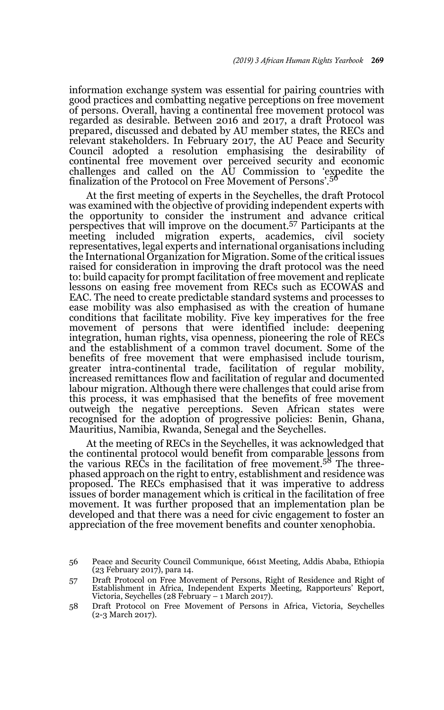information exchange system was essential for pairing countries with good practices and combatting negative perceptions on free movement of persons. Overall, having a continental free movement protocol was regarded as desirable. Between 2016 and 2017, a draft Protocol was prepared, discussed and debated by AU member states, the RECs and relevant stakeholders. In February 2017, the AU Peace and Security Council adopted a resolution emphasising the desirability of continental free movement over perceived security and economic challenges and called on the AU Commission to 'expedite the finalization of the Protocol on Free Movement of Persons'.<sup>56</sup>

At the first meeting of experts in the Seychelles, the draft Protocol was examined with the objective of providing independent experts with the opportunity to consider the instrument and advance critical perspectives that will improve on the document.57 Participants at the meeting included migration experts, academics, civil society representatives, legal experts and international organisations including the International Organization for Migration. Some of the critical issues raised for consideration in improving the draft protocol was the need to: build capacity for prompt facilitation of free movement and replicate lessons on easing free movement from RECs such as ECOWAS and EAC. The need to create predictable standard systems and processes to ease mobility was also emphasised as with the creation of humane conditions that facilitate mobility. Five key imperatives for the free movement of persons that were identified include: deepening integration, human rights, visa openness, pioneering the role of RECs and the establishment of a common travel document. Some of the benefits of free movement that were emphasised include tourism, greater intra-continental trade, facilitation of regular mobility, increased remittances flow and facilitation of regular and documented labour migration. Although there were challenges that could arise from this process, it was emphasised that the benefits of free movement outweigh the negative perceptions. Seven African states were recognised for the adoption of progressive policies: Benin, Ghana, Mauritius, Namibia, Rwanda, Senegal and the Seychelles.

At the meeting of RECs in the Seychelles, it was acknowledged that the continental protocol would benefit from comparable lessons from<br>the various RECs in the facilitation of free movement.<sup>58</sup> The threephased approach on the right to entry, establishment and residence was proposed. The RECs emphasised that it was imperative to address issues of border management which is critical in the facilitation of free movement. It was further proposed that an implementation plan be developed and that there was a need for civic engagement to foster an appreciation of the free movement benefits and counter xenophobia.

<sup>56</sup> Peace and Security Council Communique, 661st Meeting, Addis Ababa, Ethiopia (23 February 2017), para 14.

<sup>57</sup> Draft Protocol on Free Movement of Persons, Right of Residence and Right of Establishment in Africa, Independent Experts Meeting, Rapporteurs' Report, Victoria, Seychelles (28 February – 1 March 2017).

<sup>58</sup> Draft Protocol on Free Movement of Persons in Africa, Victoria, Seychelles (2-3 March 2017).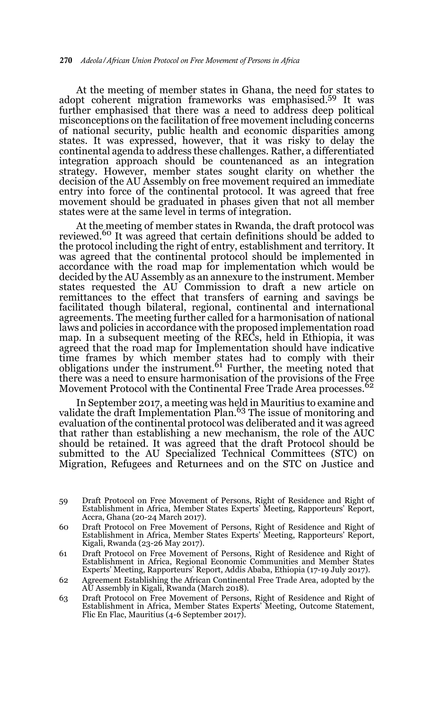At the meeting of member states in Ghana, the need for states to adopt coherent migration frameworks was emphasised.59 It was further emphasised that there was a need to address deep political misconceptions on the facilitation of free movement including concerns of national security, public health and economic disparities among states. It was expressed, however, that it was risky to delay the continental agenda to address these challenges. Rather, a differentiated integration approach should be countenanced as an integration strategy. However, member states sought clarity on whether the decision of the AU Assembly on free movement required an immediate entry into force of the continental protocol. It was agreed that free movement should be graduated in phases given that not all member states were at the same level in terms of integration.

At the meeting of member states in Rwanda, the draft protocol was reviewed.<sup>60</sup> It was agreed that certain definitions should be added to the protocol including the right of entry, establishment and territory. It was agreed that the continental protocol should be implemented in accordance with the road map for implementation which would be decided by the AU Assembly as an annexure to the instrument. Member states requested the AU Commission to draft a new article on remittances to the effect that transfers of earning and savings be facilitated though bilateral, regional, continental and international agreements. The meeting further called for a harmonisation of national laws and policies in accordance with the proposed implementation road map. In a subsequent meeting of the RECs, held in Ethiopia, it was agreed that the road map for Implementation should have indicative time frames by which member states had to comply with their obligations under the instrument. <sup>61</sup> Further, the meeting noted that there was a need to ensure harmonisation of the provisions of the Free Movement Protocol with the Continental Free Trade Area processes.<sup>62</sup>

In September 2017, a meeting was held in Mauritius to examine and validate the draft Implementation Plan.<sup>63</sup> The issue of monitoring and evaluation of the continental protocol was deliberated and it was agreed that rather than establishing a new mechanism, the role of the AUC should be retained. It was agreed that the draft Protocol should be submitted to the AU Specialized Technical Committees (STC) on Migration, Refugees and Returnees and on the STC on Justice and

- 59 Draft Protocol on Free Movement of Persons, Right of Residence and Right of Establishment in Africa, Member States Experts' Meeting, Rapporteurs' Report, Accra, Ghana (20-24 March 2017).
- 60 Draft Protocol on Free Movement of Persons, Right of Residence and Right of Establishment in Africa, Member States Experts' Meeting, Rapporteurs' Report, Kigali, Rwanda (23-26 May 2017).
- 61 Draft Protocol on Free Movement of Persons, Right of Residence and Right of Establishment in Africa, Regional Economic Communities and Member States Experts' Meeting, Rapporteurs' Report, Addis Ababa, Ethiopia (17-19 July 2017).
- 62 Agreement Establishing the African Continental Free Trade Area, adopted by the AU Assembly in Kigali, Rwanda (March 2018).
- 63 Draft Protocol on Free Movement of Persons, Right of Residence and Right of Establishment in Africa, Member States Experts' Meeting, Outcome Statement, Flic En Flac, Mauritius (4-6 September 2017).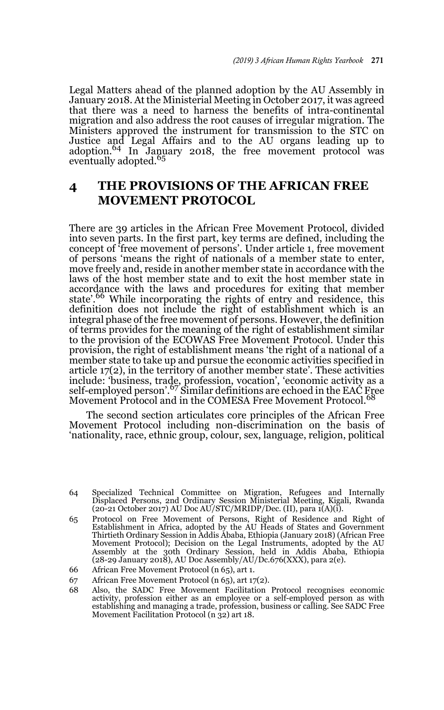Legal Matters ahead of the planned adoption by the AU Assembly in January 2018. At the Ministerial Meeting in October 2017, it was agreed that there was a need to harness the benefits of intra-continental migration and also address the root causes of irregular migration. The Ministers approved the instrument for transmission to the STC on Justice and Legal Affairs and to the AU organs leading up to adoption.64 In January 2018, the free movement protocol was eventually adopted.<sup>65</sup>

# **4 THE PROVISIONS OF THE AFRICAN FREE MOVEMENT PROTOCOL**

There are 39 articles in the African Free Movement Protocol, divided into seven parts. In the first part, key terms are defined, including the concept of 'free movement of persons'. Under article 1, free movement of persons 'means the right of nationals of a member state to enter, move freely and, reside in another member state in accordance with the laws of the host member state and to exit the host member state in accordance with the laws and procedures for exiting that member state'.<sup>66</sup> While incorporating the rights of entry and residence, this definition does not include the right of establishment which is an integral phase of the free movement of persons. However, the definition of terms provides for the meaning of the right of establishment similar to the provision of the ECOWAS Free Movement Protocol. Under this provision, the right of establishment means 'the right of a national of a member state to take up and pursue the economic activities specified in article 17(2), in the territory of another member state'. These activities include: 'business, trade, profession, vocation', 'economic activity as a<br>self-employed person'.<sup>67</sup> Similar definitions are echoed in the EAC Free Movement Protocol and in the COMESA Free Movement Protocol.<sup>68</sup>

The second section articulates core principles of the African Free Movement Protocol including non-discrimination on the basis of 'nationality, race, ethnic group, colour, sex, language, religion, political

- 67 African Free Movement Protocol (n 65), art 17(2).
- 68 Also, the SADC Free Movement Facilitation Protocol recognises economic activity, profession either as an employee or a self-employed person as with establishing and managing a trade, profession, business or calling. See SADC Free Movement Facilitation Protocol (n 32) art 18.

<sup>64</sup> Specialized Technical Committee on Migration, Refugees and Internally Displaced Persons, 2nd Ordinary Session Ministerial Meeting, Kigali, Rwanda (20-21 October 2017) AU Doc AU/STC/MRIDP/Dec. (II), para 1(A)(i).

<sup>65</sup> Protocol on Free Movement of Persons, Right of Residence and Right of Establishment in Africa, adopted by the AU Heads of States and Government Thirtieth Ordinary Session in Addis Ababa, Ethiopia (January 2018) (African Free Movement Protocol); Decision on the Legal Instruments, adopted by the AU Assembly at the 30th Ordinary Session, held in Addis Ababa, Ethiopia (28-29 January 2018), AU Doc Assembly/AU/Dc.676(XXX), para 2(e).

<sup>66</sup> African Free Movement Protocol (n 65), art 1.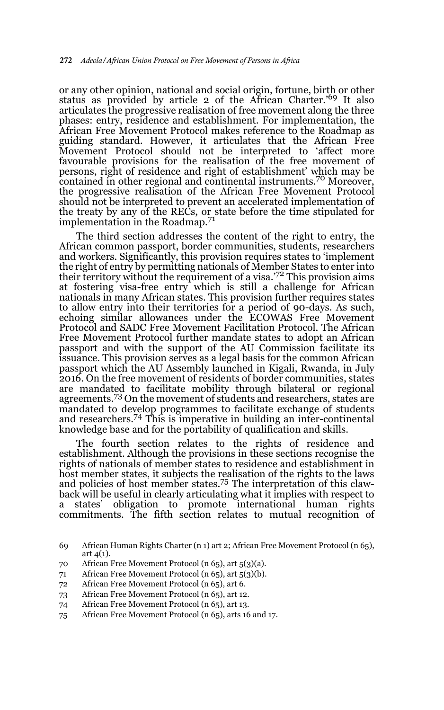or any other opinion, national and social origin, fortune, birth or other status as provided by article 2 of the African Charter.'69 It also articulates the progressive realisation of free movement along the three phases: entry, residence and establishment. For implementation, the African Free Movement Protocol makes reference to the Roadmap as guiding standard. However, it articulates that the African Free Movement Protocol should not be interpreted to 'affect more favourable provisions for the realisation of the free movement of persons, right of residence and right of establishment' which may be contained in other regional and continental instruments.70 Moreover, the progressive realisation of the African Free Movement Protocol should not be interpreted to prevent an accelerated implementation of the treaty by any of the RECs, or state before the time stipulated for implementation in the Roadmap.<sup>71</sup>

The third section addresses the content of the right to entry, the African common passport, border communities, students, researchers and workers. Significantly, this provision requires states to 'implement the right of entry by permitting nationals of Member States to enter into their territory without the requirement of a visa.'72 This provision aims at fostering visa-free entry which is still a challenge for African nationals in many African states. This provision further requires states to allow entry into their territories for a period of 90-days. As such, echoing similar allowances under the ECOWAS Free Movement Protocol and SADC Free Movement Facilitation Protocol. The African Free Movement Protocol further mandate states to adopt an African passport and with the support of the AU Commission facilitate its issuance. This provision serves as a legal basis for the common African passport which the AU Assembly launched in Kigali, Rwanda, in July 2016. On the free movement of residents of border communities, states are mandated to facilitate mobility through bilateral or regional agreements.<sup>73</sup> On the movement of students and researchers, states are mandated to develop programmes to facilitate exchange of students and researchers.74 This is imperative in building an inter-continental knowledge base and for the portability of qualification and skills.

The fourth section relates to the rights of residence and establishment. Although the provisions in these sections recognise the rights of nationals of member states to residence and establishment in host member states, it subjects the realisation of the rights to the laws and policies of host member states.75 The interpretation of this clawback will be useful in clearly articulating what it implies with respect to a states' obligation to promote international human rights commitments. The fifth section relates to mutual recognition of

- 71 African Free Movement Protocol (n 65), art 5(3)(b).
- 72 African Free Movement Protocol (n 65), art 6.
- 73 African Free Movement Protocol (n 65), art 12.
- 74 African Free Movement Protocol (n 65), art 13.
- 75 African Free Movement Protocol (n 65), arts 16 and 17.

<sup>69</sup> African Human Rights Charter (n 1) art 2; African Free Movement Protocol (n 65), art 4(1).

<sup>70</sup> African Free Movement Protocol (n 65), art 5(3)(a).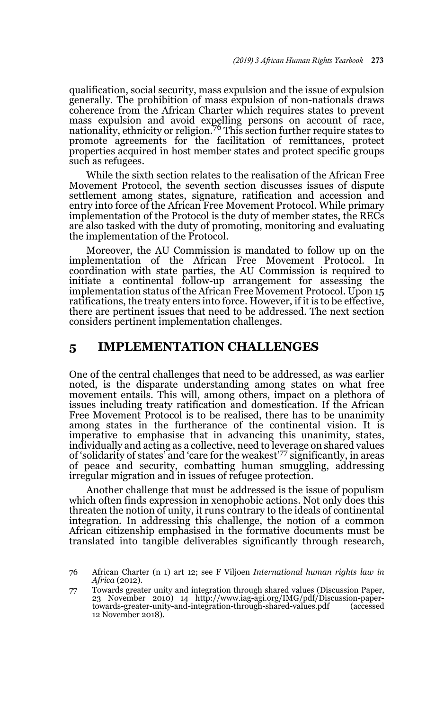qualification, social security, mass expulsion and the issue of expulsion generally. The prohibition of mass expulsion of non-nationals draws coherence from the African Charter which requires states to prevent mass expulsion and avoid expelling persons on account of race,<br>nationality, ethnicity or religion.<sup>76</sup> This section further require states to promote agreements for the facilitation of remittances, protect properties acquired in host member states and protect specific groups such as refugees.

While the sixth section relates to the realisation of the African Free Movement Protocol, the seventh section discusses issues of dispute settlement among states, signature, ratification and accession and entry into force of the African Free Movement Protocol. While primary implementation of the Protocol is the duty of member states, the RECs are also tasked with the duty of promoting, monitoring and evaluating the implementation of the Protocol.

Moreover, the AU Commission is mandated to follow up on the implementation of the African Free Movement Protocol. In coordination with state parties, the AU Commission is required to initiate a continental follow-up arrangement for assessing the implementation status of the African Free Movement Protocol. Upon 15 ratifications, the treaty enters into force. However, if it is to be effective, there are pertinent issues that need to be addressed. The next section considers pertinent implementation challenges.

## **5 IMPLEMENTATION CHALLENGES**

One of the central challenges that need to be addressed, as was earlier noted, is the disparate understanding among states on what free movement entails. This will, among others, impact on a plethora of issues including treaty ratification and domestication. If the African Free Movement Protocol is to be realised, there has to be unanimity among states in the furtherance of the continental vision. It is imperative to emphasise that in advancing this unanimity, states, individually and acting as a collective, need to leverage on shared values of 'solidarity of states' and 'care for the weakest'77 significantly, in areas of peace and security, combatting human smuggling, addressing irregular migration and in issues of refugee protection.

Another challenge that must be addressed is the issue of populism which often finds expression in xenophobic actions. Not only does this threaten the notion of unity, it runs contrary to the ideals of continental integration. In addressing this challenge, the notion of a common African citizenship emphasised in the formative documents must be translated into tangible deliverables significantly through research,

<sup>76</sup> African Charter (n 1) art 12; see F Viljoen *International human rights law in Africa* (2012).

<sup>77</sup> Towards greater unity and integration through shared values (Discussion Paper, 23 November 2010) 14 http://www.iag-agi.org/IMG/pdf/Discussion-papertowards-greater-unity-and-integration-through-shared-values.pdf 12 November 2018).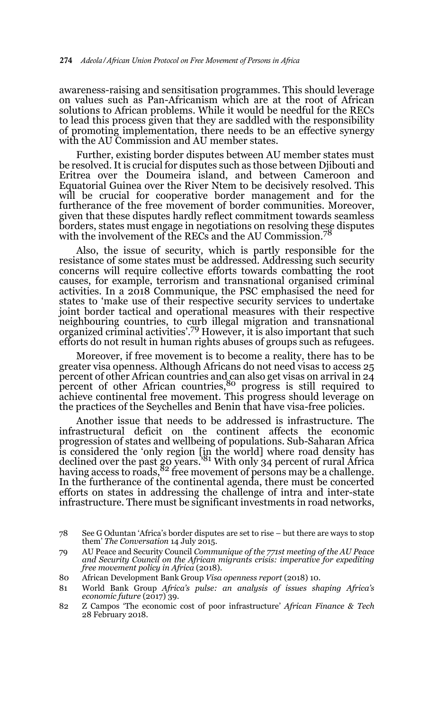awareness-raising and sensitisation programmes. This should leverage on values such as Pan-Africanism which are at the root of African solutions to African problems. While it would be needful for the RECs to lead this process given that they are saddled with the responsibility of promoting implementation, there needs to be an effective synergy with the AU Commission and AU member states.

Further, existing border disputes between AU member states must be resolved. It is crucial for disputes such as those between Djibouti and Eritrea over the Doumeira island, and between Cameroon and Equatorial Guinea over the River Ntem to be decisively resolved. This will be crucial for cooperative border management and for the furtherance of the free movement of border communities. Moreover, given that these disputes hardly reflect commitment towards seamless borders, states must engage in negotiations on resolving these disputes with the involvement of the RECs and the AU Commission.<sup>7</sup>

Also, the issue of security, which is partly responsible for the resistance of some states must be addressed. Addressing such security concerns will require collective efforts towards combatting the root causes, for example, terrorism and transnational organised criminal activities. In a 2018 Communique, the PSC emphasised the need for states to 'make use of their respective security services to undertake joint border tactical and operational measures with their respective neighbouring countries, to curb illegal migration and transnational organized criminal activities'.79 However, it is also important that such efforts do not result in human rights abuses of groups such as refugees.

Moreover, if free movement is to become a reality, there has to be greater visa openness. Although Africans do not need visas to access 25 percent of other African countries and can also get visas on arrival in 24 percent of other African countries,<sup>80</sup> progress is still required to achieve continental free movement. This progress should leverage on the practices of the Seychelles and Benin that have visa-free policies.

Another issue that needs to be addressed is infrastructure. The infrastructural deficit on the continent affects the economic progression of states and wellbeing of populations. Sub-Saharan Africa is considered the 'only region [in the world] where road density has declined over the past 20 years.'81 With only 34 percent of rural Africa having access to roads,  $82$  free movement of persons may be a challenge. In the furtherance of the continental agenda, there must be concerted efforts on states in addressing the challenge of intra and inter-state infrastructure. There must be significant investments in road networks,

<sup>78</sup> See G Oduntan 'Africa's border disputes are set to rise – but there are ways to stop them' *The Conversation* 14 July 2015.

<sup>79</sup> AU Peace and Security Council *Communique of the 771st meeting of the AU Peace and Security Council on the African migrants crisis: imperative for expediting free movement policy in Africa* (2018).

<sup>80</sup> African Development Bank Group *Visa openness report* (2018) 10.

<sup>81</sup> World Bank Group *Africa's pulse: an analysis of issues shaping Africa's economic future* (2017) 39.

<sup>82</sup> Z Campos 'The economic cost of poor infrastructure' *African Finance & Tech* 28 February 2018.